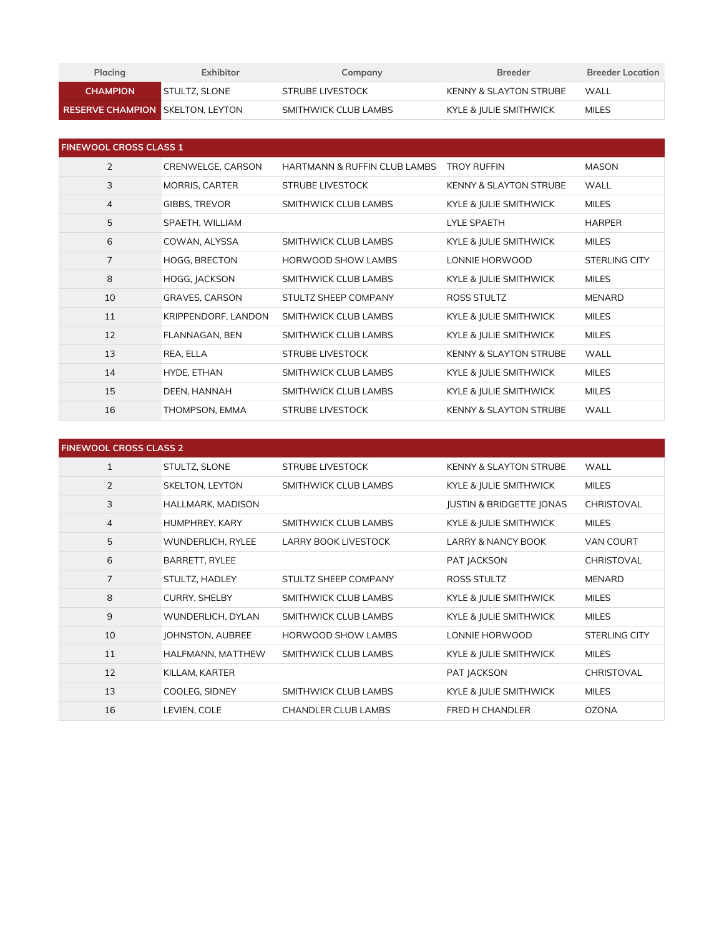| Placing                                 | Exhibitor            | Company              | <b>Breeder</b>         | <b>Breeder Location</b> |
|-----------------------------------------|----------------------|----------------------|------------------------|-------------------------|
| <b>CHAMPION</b>                         | <b>STULTZ, SLONE</b> | STRUBE LIVESTOCK     | KENNY & SLAYTON STRUBE | WALL                    |
| <b>RESERVE CHAMPION SKELTON, LEYTON</b> |                      | SMITHWICK CLUB LAMBS | KYLE & JULIE SMITHWICK | <b>MILES</b>            |

| <b>FINEWOOL CROSS CLASS 1</b> |                       |                                         |                                   |                      |
|-------------------------------|-----------------------|-----------------------------------------|-----------------------------------|----------------------|
| 2                             | CRENWELGE, CARSON     | <b>HARTMANN &amp; RUFFIN CLUB LAMBS</b> | <b>TROY RUFFIN</b>                | <b>MASON</b>         |
| 3                             | <b>MORRIS, CARTER</b> | <b>STRUBE LIVESTOCK</b>                 | <b>KENNY &amp; SLAYTON STRUBE</b> | <b>WALL</b>          |
| 4                             | GIBBS, TREVOR         | SMITHWICK CLUB LAMBS                    | KYLE & JULIE SMITHWICK            | <b>MILES</b>         |
| 5                             | SPAETH, WILLIAM       |                                         | <b>LYLE SPAETH</b>                | <b>HARPER</b>        |
| 6                             | COWAN, ALYSSA         | SMITHWICK CLUB LAMBS                    | KYLE & JULIE SMITHWICK            | <b>MILES</b>         |
| $\overline{7}$                | <b>HOGG, BRECTON</b>  | HORWOOD SHOW LAMBS                      | LONNIE HORWOOD                    | <b>STERLING CITY</b> |
| 8                             | HOGG, JACKSON         | SMITHWICK CLUB LAMBS                    | KYLE & JULIE SMITHWICK            | <b>MILES</b>         |
| 10                            | GRAVES, CARSON        | STULTZ SHEEP COMPANY                    | ROSS STULTZ                       | <b>MENARD</b>        |
| 11                            | KRIPPENDORF, LANDON   | SMITHWICK CLUB LAMBS                    | KYLE & JULIE SMITHWICK            | <b>MILES</b>         |
| 12                            | FLANNAGAN, BEN        | SMITHWICK CLUB LAMBS                    | KYLE & JULIE SMITHWICK            | <b>MILES</b>         |
| 13                            | REA, ELLA             | <b>STRUBE LIVESTOCK</b>                 | <b>KENNY &amp; SLAYTON STRUBE</b> | <b>WALL</b>          |
| 14                            | HYDE, ETHAN           | SMITHWICK CLUB LAMBS                    | KYLE & JULIE SMITHWICK            | <b>MILES</b>         |
| 15                            | DEEN, HANNAH          | SMITHWICK CLUB LAMBS                    | KYLE & JULIE SMITHWICK            | <b>MILES</b>         |
| 16                            | THOMPSON, EMMA        | <b>STRUBE LIVESTOCK</b>                 | <b>KENNY &amp; SLAYTON STRUBE</b> | <b>WALL</b>          |

| <b>FINEWOOL CROSS CLASS 2</b> |                       |                             |                                     |                   |
|-------------------------------|-----------------------|-----------------------------|-------------------------------------|-------------------|
| $\mathbf{1}$                  | STULTZ, SLONE         | <b>STRUBE LIVESTOCK</b>     | <b>KENNY &amp; SLAYTON STRUBE</b>   | <b>WALL</b>       |
| 2                             | SKELTON, LEYTON       | SMITHWICK CLUB LAMBS        | KYLE & JULIE SMITHWICK              | <b>MILES</b>      |
| 3                             | HALLMARK, MADISON     |                             | <b>JUSTIN &amp; BRIDGETTE JONAS</b> | CHRISTOVAL        |
| $\overline{4}$                | HUMPHREY, KARY        | SMITHWICK CLUB LAMBS        | KYLE & JULIE SMITHWICK              | <b>MILES</b>      |
| 5                             | WUNDERLICH, RYLEE     | <b>LARRY BOOK LIVESTOCK</b> | <b>LARRY &amp; NANCY BOOK</b>       | VAN COURT         |
| 6                             | <b>BARRETT, RYLEE</b> |                             | PAT JACKSON                         | <b>CHRISTOVAL</b> |
| $\overline{7}$                | STULTZ, HADLEY        | STULTZ SHEEP COMPANY        | <b>ROSS STULTZ</b>                  | <b>MENARD</b>     |
| 8                             | <b>CURRY, SHELBY</b>  | SMITHWICK CLUB LAMBS        | KYLE & JULIE SMITHWICK              | <b>MILES</b>      |
| $9\,$                         | WUNDERLICH, DYLAN     | SMITHWICK CLUB LAMBS        | KYLE & JULIE SMITHWICK              | <b>MILES</b>      |
| 10                            | JOHNSTON, AUBREE      | <b>HORWOOD SHOW LAMBS</b>   | LONNIE HORWOOD                      | STERLING CITY     |
| 11                            | HALFMANN, MATTHEW     | SMITHWICK CLUB LAMBS        | KYLE & JULIE SMITHWICK              | <b>MILES</b>      |
| 12                            | KILLAM, KARTER        |                             | PAT JACKSON                         | <b>CHRISTOVAL</b> |
| 13                            | COOLEG, SIDNEY        | SMITHWICK CLUB LAMBS        | KYLE & JULIE SMITHWICK              | <b>MILES</b>      |
| 16                            | LEVIEN, COLE          | <b>CHANDLER CLUB LAMBS</b>  | <b>FRED H CHANDLER</b>              | <b>OZONA</b>      |